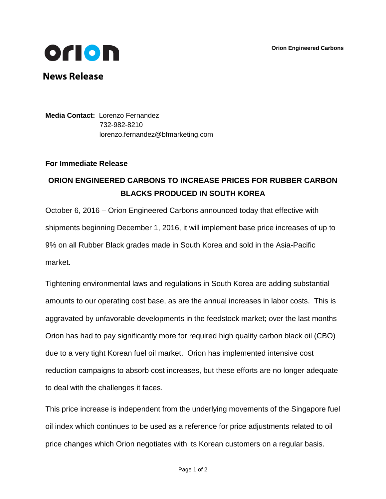**Orion Engineered Carbons**



**News Release**

**Media Contact:** Lorenzo Fernandez 732-982-8210 [lorenzo.fernandez@bfmarketing.com](mailto:lorenzo.fernandez@briechle-fernandez.com)

## **For Immediate Release**

## **ORION ENGINEERED CARBONS TO INCREASE PRICES FOR RUBBER CARBON BLACKS PRODUCED IN SOUTH KOREA**

October 6, 2016 – Orion Engineered Carbons announced today that effective with shipments beginning December 1, 2016, it will implement base price increases of up to 9% on all Rubber Black grades made in South Korea and sold in the Asia-Pacific market.

Tightening environmental laws and regulations in South Korea are adding substantial amounts to our operating cost base, as are the annual increases in labor costs. This is aggravated by unfavorable developments in the feedstock market; over the last months Orion has had to pay significantly more for required high quality carbon black oil (CBO) due to a very tight Korean fuel oil market. Orion has implemented intensive cost reduction campaigns to absorb cost increases, but these efforts are no longer adequate to deal with the challenges it faces.

This price increase is independent from the underlying movements of the Singapore fuel oil index which continues to be used as a reference for price adjustments related to oil price changes which Orion negotiates with its Korean customers on a regular basis.